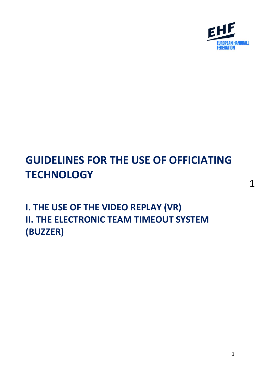

# **GUIDELINES FOR THE USE OF OFFICIATING TECHNOLOGY**

**I. THE USE OF THE VIDEO REPLAY (VR) II. THE ELECTRONIC TEAM TIMEOUT SYSTEM (BUZZER)**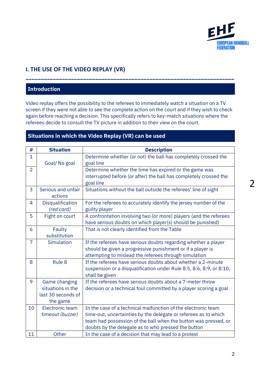

# **I. THE USE OF THE VIDEO REPLAY (VR)**

### **Introduction**

Video replay offers the possibility to the referees to immediately watch a situation on a TV screen if they were not able to see the complete action on the court and if they wish to check again before reaching a decision. This specifically refers to key-match situations where the referees decide to consult the TV picture in addition to their view on the court.

**\_\_\_\_\_\_\_\_\_\_\_\_\_\_\_\_\_\_\_\_\_\_\_\_\_\_\_\_\_\_\_\_\_\_\_\_\_\_\_\_\_\_\_\_\_\_\_\_\_\_\_\_\_\_\_\_\_\_\_\_\_\_\_\_\_\_\_\_\_**

#### **Situations in which the Video Replay (VR) can be used**

| #              | <b>Situation</b>   | <b>Description</b>                                                  |
|----------------|--------------------|---------------------------------------------------------------------|
| $\mathbf{1}$   |                    | Determine whether (or not) the ball has completely crossed the      |
|                | Goal/No goal       | goal line                                                           |
| $\overline{2}$ |                    | Determine whether the time has expired or the game was              |
|                |                    | interrupted before (or after) the ball has completely crossed the   |
|                |                    | goal line                                                           |
| 3              | Serious and unfair | Situations without the ball outside the referees' line of sight     |
|                | actions            |                                                                     |
| 4              | Disqualification   | For the referees to accurately identify the jersey number of the    |
|                | (red card)         | guilty player                                                       |
| 5              | Fight on court     | A confrontation involving two (or more) players (and the referees   |
|                |                    | have serious doubts on which player(s) should be punished)          |
| 6              | Faulty             | That is not clearly identified from the Table                       |
|                | substitution       |                                                                     |
| 7              | Simulation         | If the referees have serious doubts regarding whether a player      |
|                |                    | should be given a progressive punishment or if a player is          |
|                |                    | attempting to mislead the referees through simulation               |
| 8              | Rule 8             | If the referees have serious doubts about whether a 2-minute        |
|                |                    | suspension or a disqualification under Rule 8:5, 8:6, 8:9, or 8:10, |
|                |                    | shall be given                                                      |
| 9              | Game changing      | If the referees have serious doubts about a 7-meter throw           |
|                | situations in the  | decision or a technical foul committed by a player scoring a goal   |
|                | last 30 seconds of |                                                                     |
|                | the game           |                                                                     |
| 10             | Electronic team    | In the case of a technical malfunction of the electronic team       |
|                | timeout (buzzer)   | time-out, uncertainties by the delegate or referees as to which     |
|                |                    | team had possession of the ball when the button was pressed, or     |
|                |                    | doubts by the delegate as to who pressed the button                 |
| 11             | Other              | In the case of a decision that may lead to a protest                |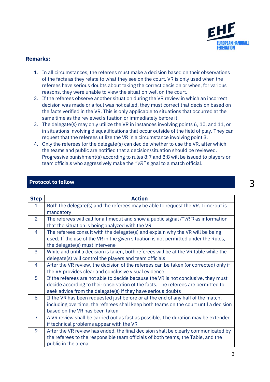

#### **Remarks:**

- 1. In all circumstances, the referees must make a decision based on their observations of the facts as they relate to what they see on the court. VR is only used when the referees have serious doubts about taking the correct decision or when, for various reasons, they were unable to view the situation well on the court.
- 2. If the referees observe another situation during the VR review in which an incorrect decision was made or a foul was not called, they must correct that decision based on the facts verified in the VR. This is only applicable to situations that occurred at the same time as the reviewed situation or immediately before it.
- 3. The delegate(s) may only utilize the VR in instances involving points 6, 10, and 11, or in situations involving disqualifications that occur outside of the field of play. They can request that the referees utilize the VR in a circumstance involving point 3.
- 4. Only the referees (or the delegate(s) can decide whether to use the VR, after which the teams and public are notified that a decision/situation should be reviewed. Progressive punishment(s) according to rules 8:7 and 8:8 will be issued to players or team officials who aggressively make the *"VR"* signal to a match official.

| <b>Step</b>    | <b>Action</b>                                                                                                                                                                                                                           |  |
|----------------|-----------------------------------------------------------------------------------------------------------------------------------------------------------------------------------------------------------------------------------------|--|
| 1              | Both the delegate(s) and the referees may be able to request the VR. Time-out is<br>mandatory                                                                                                                                           |  |
| $\overline{2}$ | The referees will call for a timeout and show a public signal $("VR")$ as information<br>that the situation is being analyzed with the VR                                                                                               |  |
| 4              | The referees consult with the delegate(s) and explain why the VR will be being<br>used. If the use of the VR in the given situation is not permitted under the Rules,<br>the delegate(s) must intervene                                 |  |
| 3              | While and until a decision is taken, both referees will be at the VR table while the<br>delegate(s) will control the players and team officials                                                                                         |  |
| 4              | After the VR review, the decision of the referees can be taken (or corrected) only if<br>the VR provides clear and conclusive visual evidence                                                                                           |  |
| 5              | If the referees are not able to decide because the VR is not conclusive, they must<br>decide according to their observation of the facts. The referees are permitted to<br>seek advice from the delegate(s) if they have serious doubts |  |
| 6              | If the VR has been requested just before or at the end of any half of the match,<br>including overtime, the referees shall keep both teams on the court until a decision<br>based on the VR has been taken                              |  |
| 7              | A VR review shall be carried out as fast as possible. The duration may be extended<br>if technical problems appear with the VR                                                                                                          |  |
| 9              | After the VR review has ended, the final decision shall be clearly communicated by<br>the referees to the responsible team officials of both teams, the Table, and the<br>public in the arena                                           |  |

#### **Protocol to follow**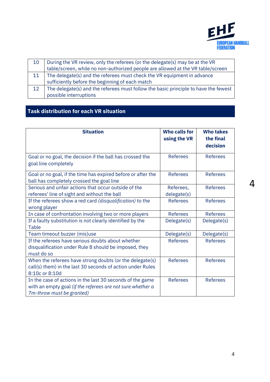

| 10 | During the VR review, only the referees (or the delegate(s) may be at the VR        |  |
|----|-------------------------------------------------------------------------------------|--|
|    | table/screen, while no non-authorized people are allowed at the VR table/screen     |  |
| 11 | The delegate(s) and the referees must check the VR equipment in advance             |  |
|    | sufficiently before the beginning of each match                                     |  |
| 12 | The delegate(s) and the referees must follow the basic principle to have the fewest |  |
|    | possible interruptions                                                              |  |

# **Task distribution for each VR situation**

| <b>Situation</b>                                                                                                                                     | <b>Who calls for</b><br>using the VR | <b>Who takes</b><br>the final |
|------------------------------------------------------------------------------------------------------------------------------------------------------|--------------------------------------|-------------------------------|
|                                                                                                                                                      |                                      | decision                      |
| Goal or no goal, the decision if the ball has crossed the<br>goal line completely                                                                    | <b>Referees</b>                      | <b>Referees</b>               |
| Goal or no goal, if the time has expired before or after the<br>ball has completely crossed the goal line                                            | <b>Referees</b>                      | <b>Referees</b>               |
| Serious and unfair actions that occur outside of the<br>referees' line of sight and without the ball                                                 | Referees,<br>delegate(s)             | <b>Referees</b>               |
| If the referees show a red card (disqualification) to the<br>wrong player                                                                            | <b>Referees</b>                      | <b>Referees</b>               |
| In case of confrontation involving two or more players                                                                                               | <b>Referees</b>                      | <b>Referees</b>               |
| If a faulty substitution is not clearly identified by the<br>Table                                                                                   | Delegate(s)                          | Delegate(s)                   |
| Team timeout buzzer (mis)use                                                                                                                         | Delegate(s)                          | Delegate(s)                   |
| If the referees have serious doubts about whether<br>disqualification under Rule 8 should be imposed, they<br>must do so                             | <b>Referees</b>                      | <b>Referees</b>               |
| When the referees have strong doubts (or the delegate(s)<br>call(s) them) in the last 30 seconds of action under Rules<br>8:10c or 8:10d             | <b>Referees</b>                      | <b>Referees</b>               |
| In the case of actions in the last 30 seconds of the game<br>with an empty goal (if the referees are not sure whether a<br>7m-throw must be granted) | <b>Referees</b>                      | <b>Referees</b>               |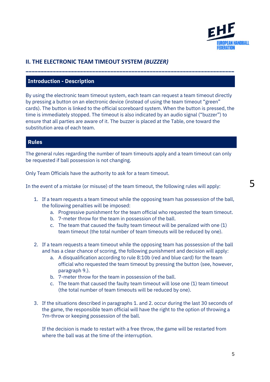

# **II. THE ELECTRONIC TEAM TIMEOUT SYSTEM** *(BUZZER)*

#### **Introduction - Description**

By using the electronic team timeout system, each team can request a team timeout directly by pressing a button on an electronic device (instead of using the team timeout "green" cards). The button is linked to the official scoreboard system. When the button is pressed, the time is immediately stopped. The timeout is also indicated by an audio signal ("buzzer") to ensure that all parties are aware of it. The buzzer is placed at the Table, one toward the substitution area of each team.

**\_\_\_\_\_\_\_\_\_\_\_\_\_\_\_\_\_\_\_\_\_\_\_\_\_\_\_\_\_\_\_\_\_\_\_\_\_\_\_\_\_\_\_\_\_\_\_\_\_\_\_\_\_\_\_\_\_\_\_\_\_\_\_\_\_\_\_\_\_**

#### **Rules**

The general rules regarding the number of team timeouts apply and a team timeout can only be requested if ball possession is not changing.

Only Team Officials have the authority to ask for a team timeout.

In the event of a mistake (or misuse) of the team timeout, the following rules will apply:

- 1. If a team requests a team timeout while the opposing team has possession of the ball, the following penalties will be imposed:
	- a. Progressive punishment for the team official who requested the team timeout.
	- b. 7-meter throw for the team in possession of the ball.
	- c. The team that caused the faulty team timeout will be penalized with one (1) team timeout (the total number of team timeouts will be reduced by one).
- 2. If a team requests a team timeout while the opposing team has possession of the ball and has a clear chance of scoring, the following punishment and decision will apply:
	- a. A disqualification according to rule 8:10b (red and blue card) for the team official who requested the team timeout by pressing the button (see, however, paragraph 9.).
	- b. 7-meter throw for the team in possession of the ball.
	- c. The team that caused the faulty team timeout will lose one (1) team timeout (the total number of team timeouts will be reduced by one).
- 3. If the situations described in paragraphs 1. and 2. occur during the last 30 seconds of the game, the responsible team official will have the right to the option of throwing a 7m-throw or keeping possession of the ball.

If the decision is made to restart with a free throw, the game will be restarted from where the ball was at the time of the interruption.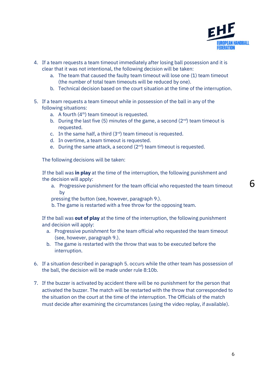

- 4. If a team requests a team timeout immediately after losing ball possession and it is clear that it was not intentional, the following decision will be taken:
	- a. The team that caused the faulty team timeout will lose one (1) team timeout (the number of total team timeouts will be reduced by one).
	- b. Technical decision based on the court situation at the time of the interruption.
- 5. If a team requests a team timeout while in possession of the ball in any of the following situations:
	- a. A fourth  $(4<sup>th</sup>)$  team timeout is requested.
	- b. During the last five (5) minutes of the game, a second  $(2^{nd})$  team timeout is requested.
	- c. In the same half, a third  $(3<sup>rd</sup>)$  team timeout is requested.
	- d. In overtime, a team timeout is requested.
	- e. During the same attack, a second  $(2^{nd})$  team timeout is requested.

The following decisions will be taken:

 If the ball was **in play** at the time of the interruption, the following punishment and the decision will apply:

- a. Progressive punishment for the team official who requested the team timeout by
- pressing the button (see, however, paragraph 9.).
- b. The game is restarted with a free throw for the opposing team.

If the ball was **out of play** at the time of the interruption, the following punishment and decision will apply:

- a. Progressive punishment for the team official who requested the team timeout (see, however, paragraph 9.).
- b. The game is restarted with the throw that was to be executed before the interruption.
- 6. If a situation described in paragraph 5. occurs while the other team has possession of the ball, the decision will be made under rule 8:10b.
- 7. If the buzzer is activated by accident there will be no punishment for the person that activated the buzzer. The match will be restarted with the throw that corresponded to the situation on the court at the time of the interruption. The Officials of the match must decide after examining the circumstances (using the video replay, if available).

6